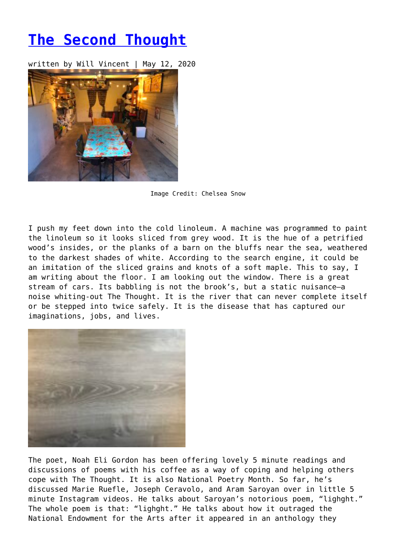## **[The Second Thought](https://entropymag.org/the-second-thought/)**

written by Will Vincent | May 12, 2020



Image Credit: Chelsea Snow

I push my feet down into the cold linoleum. A machine was programmed to paint the linoleum so it looks sliced from grey wood. It is the hue of a petrified wood's insides, or the planks of a barn on the bluffs near the sea, weathered to the darkest shades of white. According to the search engine, it could be an imitation of the sliced grains and knots of a soft maple. This to say, I am writing about the floor. I am looking out the window. There is a great stream of cars. Its babbling is not the brook's, but a static nuisance—a noise whiting-out The Thought. It is the river that can never complete itself or be stepped into twice safely. It is the disease that has captured our imaginations, jobs, and lives.



The poet, Noah Eli Gordon has been offering lovely 5 minute readings and discussions of poems with his coffee as a way of coping and helping others cope with The Thought. It is also National Poetry Month. So far, he's discussed Marie Ruefle, Joseph Ceravolo, and Aram Saroyan over in little 5 minute Instagram videos. He talks about Saroyan's notorious poem, "lighght." The whole poem is that: "lighght." He talks about how it outraged the National Endowment for the Arts after it appeared in an anthology they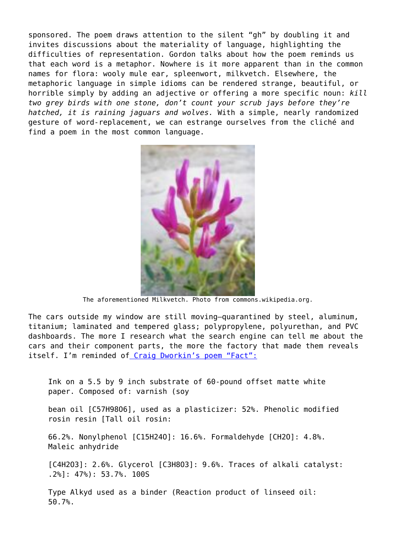sponsored. The poem draws attention to the silent "gh" by doubling it and invites discussions about the materiality of language, highlighting the difficulties of representation. Gordon talks about how the poem reminds us that each word is a metaphor. Nowhere is it more apparent than in the common names for flora: wooly mule ear, spleenwort, milkvetch. Elsewhere, the metaphoric language in simple idioms can be rendered strange, beautiful, or horrible simply by adding an adjective or offering a more specific noun: *kill two grey birds with one stone, don't count your scrub jays before they're hatched, it is raining jaguars and wolves.* With a simple, nearly randomized gesture of word-replacement, we can estrange ourselves from the cliché and find a poem in the most common language.



The aforementioned Milkvetch. Photo from commons.wikipedia.org.

The cars outside my window are still moving—quarantined by steel, aluminum, titanium; laminated and tempered glass; polypropylene, polyurethan, and PVC dashboards. The more I research what the search engine can tell me about the cars and their component parts, the more the factory that made them reveals itself. I'm reminded of [Craig Dworkin's poem "Fact":](https://www.poetryfoundation.org/poetrymagazine/poems/52694/fact-56d23160d463d)

Ink on a 5.5 by 9 inch substrate of 60-pound offset matte white paper. Composed of: varnish (soy

bean oil [C57H98O6], used as a plasticizer: 52%. Phenolic modified rosin resin [Tall oil rosin:

66.2%. Nonylphenol [C15H24O]: 16.6%. Formaldehyde [CH2O]: 4.8%. Maleic anhydride

[C4H2O3]: 2.6%. Glycerol [C3H8O3]: 9.6%. Traces of alkali catalyst: .2%]: 47%): 53.7%. 100S

Type Alkyd used as a binder (Reaction product of linseed oil: 50.7%.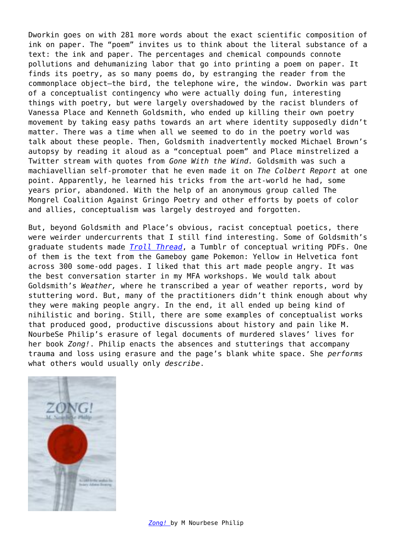Dworkin goes on with 281 more words about the exact scientific composition of ink on paper. The "poem" invites us to think about the literal substance of a text: the ink and paper. The percentages and chemical compounds connote pollutions and dehumanizing labor that go into printing a poem on paper. It finds its poetry, as so many poems do, by estranging the reader from the commonplace object—the bird, the telephone wire, the window. Dworkin was part of a conceptualist contingency who were actually doing fun, interesting things with poetry, but were largely overshadowed by the racist blunders of Vanessa Place and Kenneth Goldsmith, who ended up killing their own poetry movement by taking easy paths towards an art where identity supposedly didn't matter. There was a time when all we seemed to do in the poetry world was talk about these people. Then, Goldsmith inadvertently mocked Michael Brown's autopsy by reading it aloud as a "conceptual poem" and Place minstrelized a Twitter stream with quotes from *Gone With the Wind.* Goldsmith was such a machiavellian self-promoter that he even made it on *The Colbert Report* at one point. Apparently, he learned his tricks from the art-world he had, some years prior, abandoned. With the help of an anonymous group called The Mongrel Coalition Against Gringo Poetry and other efforts by poets of color and allies, conceptualism was largely destroyed and forgotten.

But, beyond Goldsmith and Place's obvious, racist conceptual poetics, there were weirder undercurrents that I still find interesting. Some of Goldsmith's graduate students made *[Troll Thread](https://trollthread.tumblr.com/)*, a Tumblr of conceptual writing PDFs. One of them is the text from the Gameboy game Pokemon: Yellow in Helvetica font across 300 some-odd pages. I liked that this art made people angry. It was the best conversation starter in my MFA workshops. We would talk about Goldsmith's *Weather,* where he transcribed a year of weather reports, word by stuttering word. But, many of the practitioners didn't think enough about why they were making people angry. In the end, it all ended up being kind of nihilistic and boring. Still, there are some examples of conceptualist works that produced good, productive discussions about history and pain like M. NourbeSe Philip's erasure of legal documents of murdered slaves' lives for her book *Zong!*. Philip enacts the absences and stutterings that accompany trauma and loss using erasure and the page's blank white space. She *performs* what others would usually only *describe*.

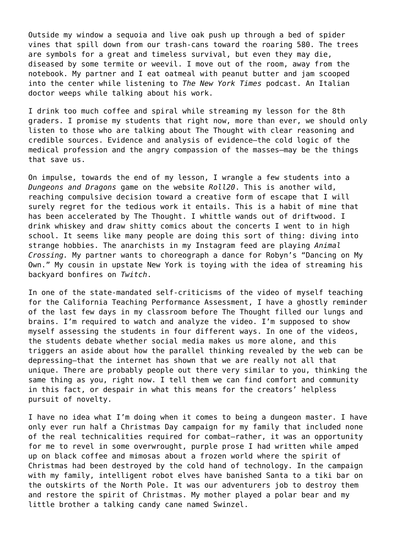Outside my window a sequoia and live oak push up through a bed of spider vines that spill down from our trash-cans toward the roaring 580. The trees are symbols for a great and timeless survival, but even they may die, diseased by some termite or weevil. I move out of the room, away from the notebook. My partner and I eat oatmeal with peanut butter and jam scooped into the center while listening to *The New York Times* podcast. An Italian doctor weeps while talking about his work.

I drink too much coffee and spiral while streaming my lesson for the 8th graders. I promise my students that right now, more than ever, we should only listen to those who are talking about The Thought with clear reasoning and credible sources. Evidence and analysis of evidence—the cold logic of the medical profession and the angry compassion of the masses—may be the things that save us.

On impulse, towards the end of my lesson, I wrangle a few students into a *Dungeons and Dragons* game on the website *Roll20*. This is another wild, reaching compulsive decision toward a creative form of escape that I will surely regret for the tedious work it entails. This is a habit of mine that has been accelerated by The Thought. I whittle wands out of driftwood. I drink whiskey and draw shitty comics about the concerts I went to in high school. It seems like many people are doing this sort of thing: diving into strange hobbies. The anarchists in my Instagram feed are playing *Animal Crossing.* My partner wants to choreograph a dance for Robyn's "Dancing on My Own." My cousin in upstate New York is toying with the idea of streaming his backyard bonfires on *Twitch*.

In one of the state-mandated self-criticisms of the video of myself teaching for the California Teaching Performance Assessment, I have a ghostly reminder of the last few days in my classroom before The Thought filled our lungs and brains. I'm required to watch and analyze the video. I'm supposed to show myself assessing the students in four different ways. In one of the videos, the students debate whether social media makes us more alone, and this triggers an aside about how the parallel thinking revealed by the web can be depressing—that the internet has shown that we are really not all that unique. There are probably people out there very similar to you, thinking the same thing as you, right now. I tell them we can find comfort and community in this fact, or despair in what this means for the creators' helpless pursuit of novelty.

I have no idea what I'm doing when it comes to being a dungeon master. I have only ever run half a Christmas Day campaign for my family that included none of the real technicalities required for combat—rather, it was an opportunity for me to revel in some overwrought, purple prose I had written while amped up on black coffee and mimosas about a frozen world where the spirit of Christmas had been destroyed by the cold hand of technology. In the campaign with my family, intelligent robot elves have banished Santa to a tiki bar on the outskirts of the North Pole. It was our adventurers job to destroy them and restore the spirit of Christmas. My mother played a polar bear and my little brother a talking candy cane named Swinzel.